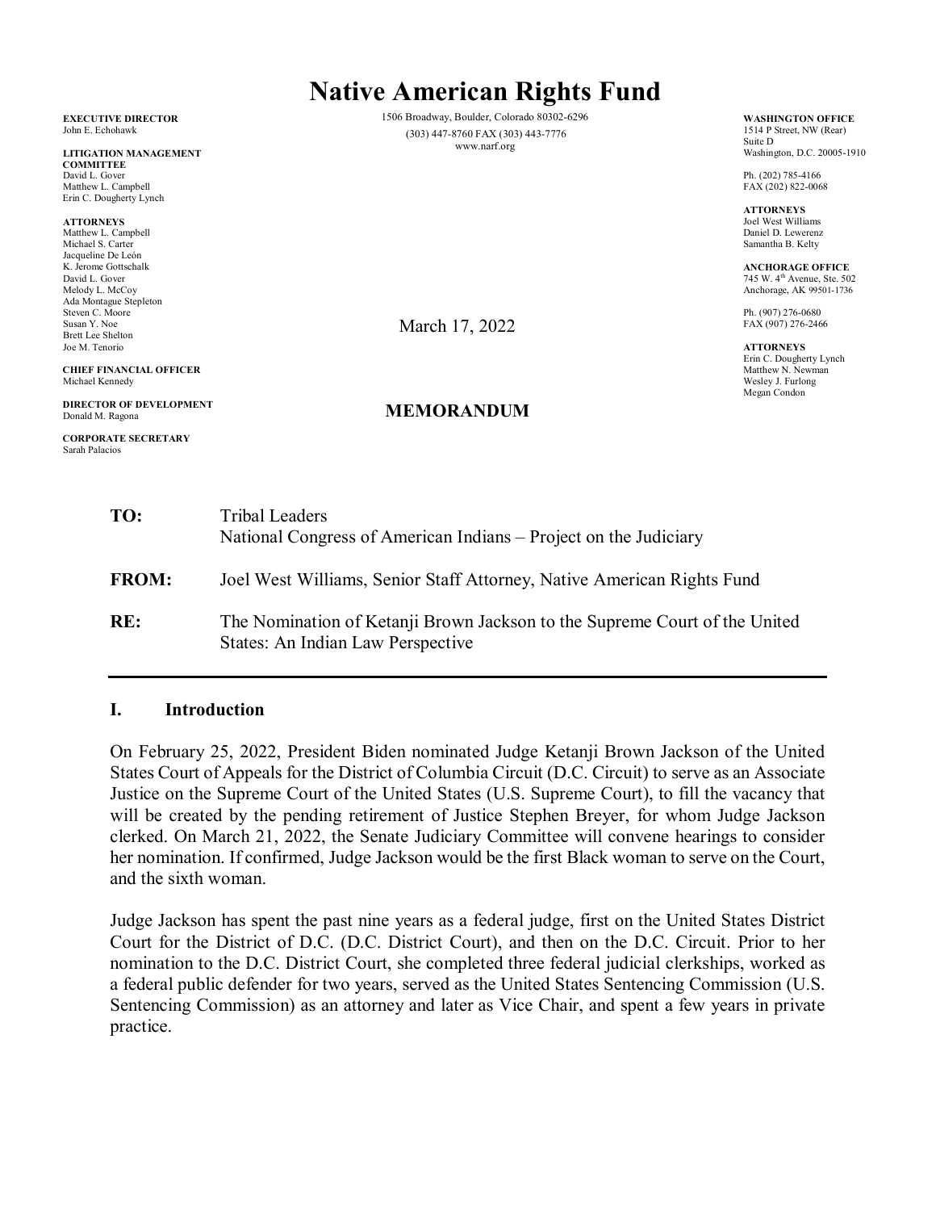| Matthew L. Campbell<br>Erin C. Dougherty Lynch                                        |                                                                                                                                                                                                                                                                                                                                                                                                                                                                                                                                                                                                                                                         | FAX (202) 822-0068                                                                                    |
|---------------------------------------------------------------------------------------|---------------------------------------------------------------------------------------------------------------------------------------------------------------------------------------------------------------------------------------------------------------------------------------------------------------------------------------------------------------------------------------------------------------------------------------------------------------------------------------------------------------------------------------------------------------------------------------------------------------------------------------------------------|-------------------------------------------------------------------------------------------------------|
| <b>ATTORNEYS</b><br>Matthew L. Campbell<br>Michael S. Carter                          |                                                                                                                                                                                                                                                                                                                                                                                                                                                                                                                                                                                                                                                         | <b>ATTORNEYS</b><br>Joel West Williams<br>Daniel D. Lewerenz<br>Samantha B. Kelty                     |
| Jacqueline De León<br>K. Jerome Gottschalk<br>David L. Gover<br>Melody L. McCoy       |                                                                                                                                                                                                                                                                                                                                                                                                                                                                                                                                                                                                                                                         | <b>ANCHORAGE OFFICE</b><br>745 W. 4 <sup>th</sup> Avenue, Ste. 502<br>Anchorage, AK 99501-1736        |
| Ada Montague Stepleton<br>Steven C. Moore<br>Susan Y. Noe<br><b>Brett Lee Shelton</b> | March 17, 2022                                                                                                                                                                                                                                                                                                                                                                                                                                                                                                                                                                                                                                          | Ph. (907) 276-0680<br>FAX (907) 276-2466                                                              |
| Joe M. Tenorio<br><b>CHIEF FINANCIAL OFFICER</b><br>Michael Kennedy                   |                                                                                                                                                                                                                                                                                                                                                                                                                                                                                                                                                                                                                                                         | <b>ATTORNEYS</b><br>Erin C. Dougherty Lynch<br>Matthew N. Newman<br>Wesley J. Furlong<br>Megan Condon |
| <b>DIRECTOR OF DEVELOPMENT</b><br>Donald M. Ragona                                    | <b>MEMORANDUM</b>                                                                                                                                                                                                                                                                                                                                                                                                                                                                                                                                                                                                                                       |                                                                                                       |
| <b>CORPORATE SECRETARY</b><br>Sarah Palacios                                          |                                                                                                                                                                                                                                                                                                                                                                                                                                                                                                                                                                                                                                                         |                                                                                                       |
| TO:                                                                                   | <b>Tribal Leaders</b><br>National Congress of American Indians – Project on the Judiciary                                                                                                                                                                                                                                                                                                                                                                                                                                                                                                                                                               |                                                                                                       |
| <b>FROM:</b>                                                                          | Joel West Williams, Senior Staff Attorney, Native American Rights Fund                                                                                                                                                                                                                                                                                                                                                                                                                                                                                                                                                                                  |                                                                                                       |
| <b>DD</b>                                                                             | $\mathbf{r}$ $\mathbf{r}$ $\mathbf{r}$ $\mathbf{r}$ $\mathbf{r}$ $\mathbf{r}$ $\mathbf{r}$ $\mathbf{r}$ $\mathbf{r}$ $\mathbf{r}$ $\mathbf{r}$ $\mathbf{r}$ $\mathbf{r}$ $\mathbf{r}$ $\mathbf{r}$ $\mathbf{r}$ $\mathbf{r}$ $\mathbf{r}$ $\mathbf{r}$ $\mathbf{r}$ $\mathbf{r}$ $\mathbf{r}$ $\mathbf{r}$ $\mathbf{r}$ $\mathbf{$<br>$\mathcal{L}$ and $\mathcal{L}$ and $\mathcal{L}$ and $\mathcal{L}$ and $\mathcal{L}$ and $\mathcal{L}$ and $\mathcal{L}$ and $\mathcal{L}$ and $\mathcal{L}$ and $\mathcal{L}$ and $\mathcal{L}$ and $\mathcal{L}$ and $\mathcal{L}$ and $\mathcal{L}$ and $\mathcal{L}$ and $\mathcal{L}$ and $\mathcal{L}$ and |                                                                                                       |

**RE:** The Nomination of Ketanji Brown Jackson to the Supreme Court of the United States: An Indian Law Perspective

#### **I. Introduction**

On February 25, 2022, President Biden nominated Judge Ketanji Brown Jackson of the United States Court of Appeals for the District of Columbia Circuit (D.C. Circuit) to serve as an Associate Justice on the Supreme Court of the United States (U.S. Supreme Court), to fill the vacancy that will be created by the pending retirement of Justice Stephen Breyer, for whom Judge Jackson clerked. On March 21, 2022, the Senate Judiciary Committee will convene hearings to consider her nomination. If confirmed, Judge Jackson would be the first Black woman to serve on the Court, and the sixth woman.

Judge Jackson has spent the past nine years as a federal judge, first on the United States District Court for the District of D.C. (D.C. District Court), and then on the D.C. Circuit. Prior to her nomination to the D.C. District Court, she completed three federal judicial clerkships, worked as a federal public defender for two years, served as the United States Sentencing Commission (U.S. Sentencing Commission) as an attorney and later as Vice Chair, and spent a few years in private practice.

# **Native American Rights Fund**

1506 Broadway, Boulder, Colorado 80302-6296 (303) 447-8760 FAX (303) 443-7776 www.narf.org

#### **EXECUTIVE DIRECTOR** John E. Echohawk

 **LITIGATION MANAGEMENT COMMITTEE** David L. Gover Matthew L. Campbell

#### **CHIEF FINANCIAL OFFICER** Michael Kennedy

**WASHINGTON OFFICE** 1514 P Street, NW (Rear) Suite D Washington, D.C. 20005-1910

Ph. (202) 785-4166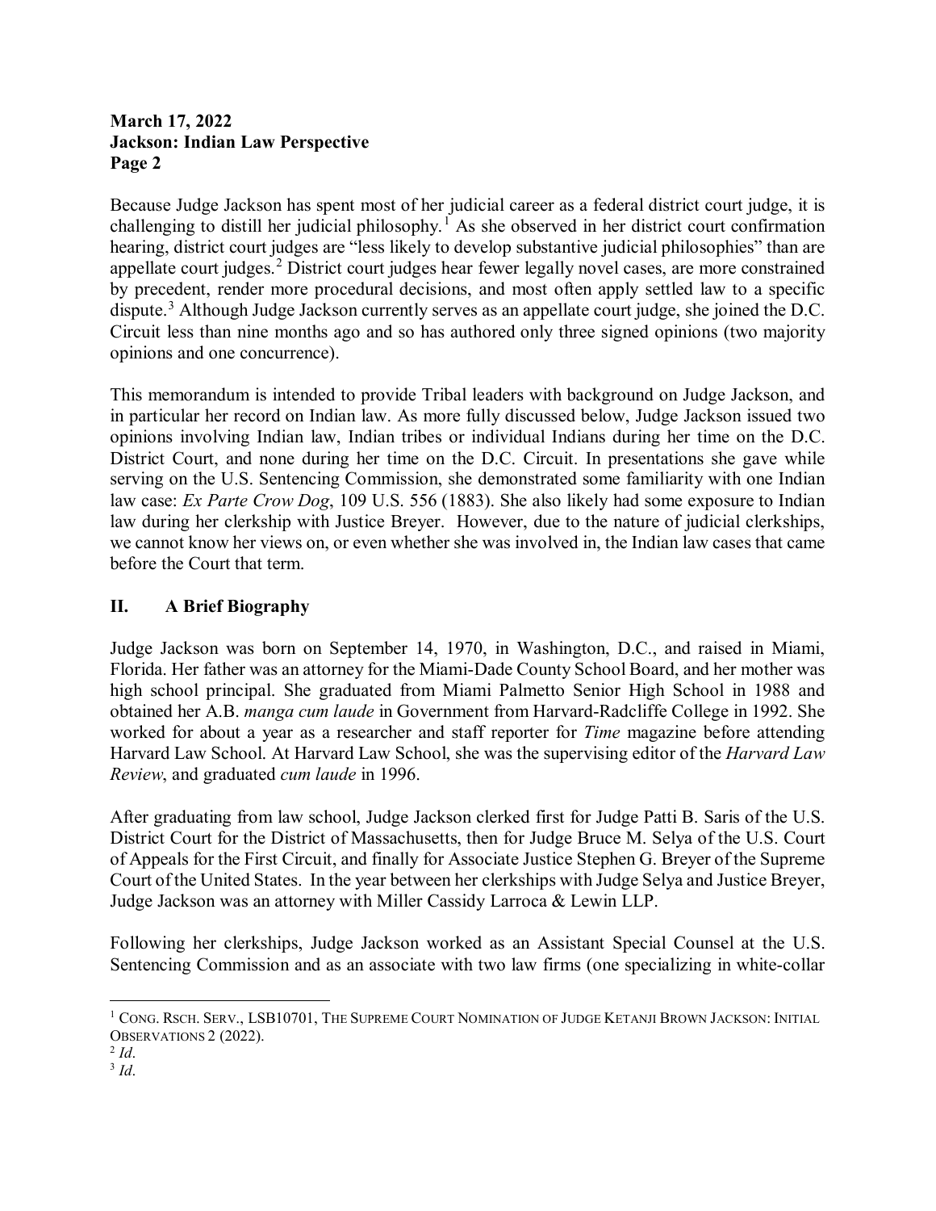Because Judge Jackson has spent most of her judicial career as a federal district court judge, it is challenging to distill her judicial philosophy.<sup>[1](#page-1-0)</sup> As she observed in her district court confirmation hearing, district court judges are "less likely to develop substantive judicial philosophies" than are appellate court judges.<sup>[2](#page-1-1)</sup> District court judges hear fewer legally novel cases, are more constrained by precedent, render more procedural decisions, and most often apply settled law to a specific dispute.[3](#page-1-2) Although Judge Jackson currently serves as an appellate court judge, she joined the D.C. Circuit less than nine months ago and so has authored only three signed opinions (two majority opinions and one concurrence).

This memorandum is intended to provide Tribal leaders with background on Judge Jackson, and in particular her record on Indian law. As more fully discussed below, Judge Jackson issued two opinions involving Indian law, Indian tribes or individual Indians during her time on the D.C. District Court, and none during her time on the D.C. Circuit. In presentations she gave while serving on the U.S. Sentencing Commission, she demonstrated some familiarity with one Indian law case: *Ex Parte Crow Dog*, 109 U.S. 556 (1883). She also likely had some exposure to Indian law during her clerkship with Justice Breyer. However, due to the nature of judicial clerkships, we cannot know her views on, or even whether she was involved in, the Indian law cases that came before the Court that term.

## **II. A Brief Biography**

Judge Jackson was born on September 14, 1970, in Washington, D.C., and raised in Miami, Florida. Her father was an attorney for the Miami-Dade County School Board, and her mother was high school principal. She graduated from Miami Palmetto Senior High School in 1988 and obtained her A.B. *manga cum laude* in Government from Harvard-Radcliffe College in 1992. She worked for about a year as a researcher and staff reporter for *Time* magazine before attending Harvard Law School. At Harvard Law School, she was the supervising editor of the *Harvard Law Review*, and graduated *cum laude* in 1996.

After graduating from law school, Judge Jackson clerked first for Judge Patti B. Saris of the U.S. District Court for the District of Massachusetts, then for Judge Bruce M. Selya of the U.S. Court of Appeals for the First Circuit, and finally for Associate Justice Stephen G. Breyer of the Supreme Court of the United States. In the year between her clerkships with Judge Selya and Justice Breyer, Judge Jackson was an attorney with Miller Cassidy Larroca & Lewin LLP.

Following her clerkships, Judge Jackson worked as an Assistant Special Counsel at the U.S. Sentencing Commission and as an associate with two law firms (one specializing in white-collar

<span id="page-1-0"></span> <sup>1</sup> CONG. RSCH. SERV., LSB10701, THE SUPREME COURT NOMINATION OF JUDGE KETANJI BROWN JACKSON: INITIAL OBSERVATIONS 2 (2022).

<span id="page-1-1"></span><sup>2</sup> *Id*.

<span id="page-1-2"></span> $3 \dot{Id}$ .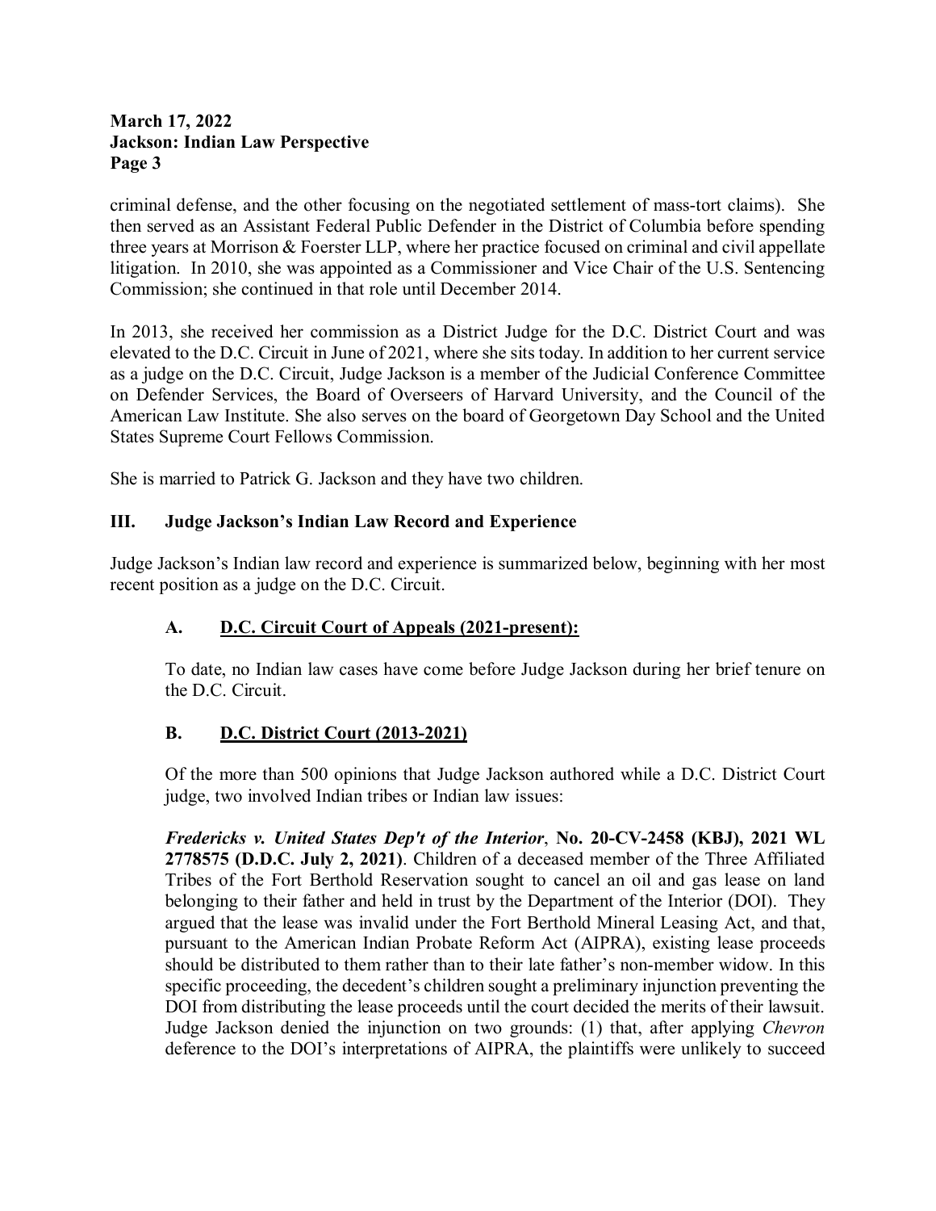criminal defense, and the other focusing on the negotiated settlement of mass-tort claims). She then served as an Assistant Federal Public Defender in the District of Columbia before spending three years at Morrison & Foerster LLP, where her practice focused on criminal and civil appellate litigation. In 2010, she was appointed as a Commissioner and Vice Chair of the U.S. Sentencing Commission; she continued in that role until December 2014.

In 2013, she received her commission as a District Judge for the D.C. District Court and was elevated to the D.C. Circuit in June of 2021, where she sits today. In addition to her current service as a judge on the D.C. Circuit, Judge Jackson is a member of the Judicial Conference Committee on Defender Services, the Board of Overseers of Harvard University, and the Council of the American Law Institute. She also serves on the board of Georgetown Day School and the United States Supreme Court Fellows Commission.

She is married to Patrick G. Jackson and they have two children.

#### **III. Judge Jackson's Indian Law Record and Experience**

Judge Jackson's Indian law record and experience is summarized below, beginning with her most recent position as a judge on the D.C. Circuit.

#### **A. D.C. Circuit Court of Appeals (2021-present):**

To date, no Indian law cases have come before Judge Jackson during her brief tenure on the D.C. Circuit.

#### **B. D.C. District Court (2013-2021)**

Of the more than 500 opinions that Judge Jackson authored while a D.C. District Court judge, two involved Indian tribes or Indian law issues:

*Fredericks v. United States Dep't of the Interior*, **No. 20-CV-2458 (KBJ), 2021 WL 2778575 (D.D.C. July 2, 2021)**. Children of a deceased member of the Three Affiliated Tribes of the Fort Berthold Reservation sought to cancel an oil and gas lease on land belonging to their father and held in trust by the Department of the Interior (DOI). They argued that the lease was invalid under the Fort Berthold Mineral Leasing Act, and that, pursuant to the American Indian Probate Reform Act (AIPRA), existing lease proceeds should be distributed to them rather than to their late father's non-member widow. In this specific proceeding, the decedent's children sought a preliminary injunction preventing the DOI from distributing the lease proceeds until the court decided the merits of their lawsuit. Judge Jackson denied the injunction on two grounds: (1) that, after applying *Chevron* deference to the DOI's interpretations of AIPRA, the plaintiffs were unlikely to succeed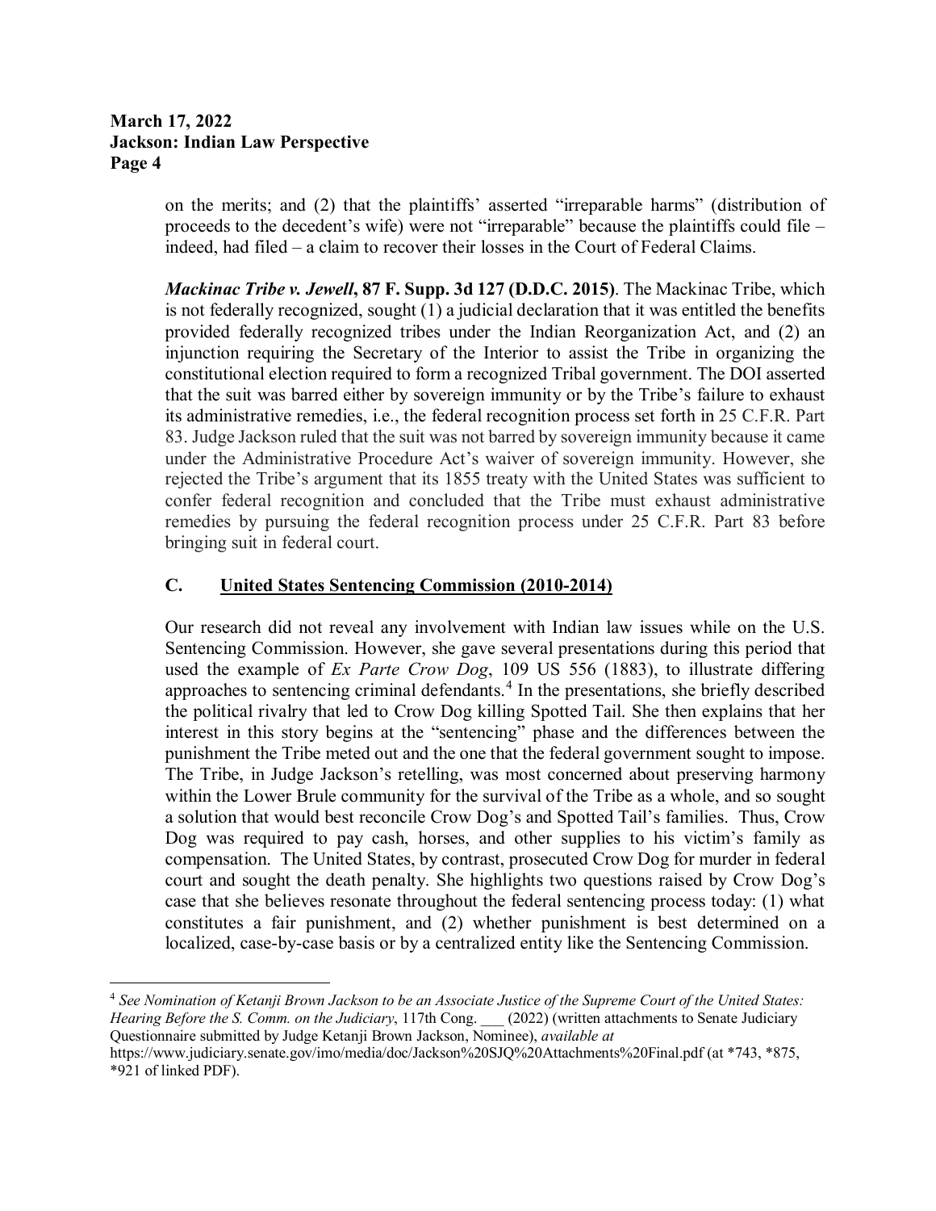on the merits; and (2) that the plaintiffs' asserted "irreparable harms" (distribution of proceeds to the decedent's wife) were not "irreparable" because the plaintiffs could file – indeed, had filed – a claim to recover their losses in the Court of Federal Claims.

*Mackinac Tribe v. Jewell***, 87 F. Supp. 3d 127 (D.D.C. 2015)**. The Mackinac Tribe, which is not federally recognized, sought (1) a judicial declaration that it was entitled the benefits provided federally recognized tribes under the Indian Reorganization Act, and (2) an injunction requiring the Secretary of the Interior to assist the Tribe in organizing the constitutional election required to form a recognized Tribal government. The DOI asserted that the suit was barred either by sovereign immunity or by the Tribe's failure to exhaust its administrative remedies, i.e., the federal recognition process set forth in 25 C.F.R. Part 83. Judge Jackson ruled that the suit was not barred by sovereign immunity because it came under the Administrative Procedure Act's waiver of sovereign immunity. However, she rejected the Tribe's argument that its 1855 treaty with the United States was sufficient to confer federal recognition and concluded that the Tribe must exhaust administrative remedies by pursuing the federal recognition process under 25 C.F.R. Part 83 before bringing suit in federal court.

#### **C. United States Sentencing Commission (2010-2014)**

Our research did not reveal any involvement with Indian law issues while on the U.S. Sentencing Commission. However, she gave several presentations during this period that used the example of *Ex Parte Crow Dog*, 109 US 556 (1883), to illustrate differing approaches to sentencing criminal defendants.<sup>[4](#page-3-0)</sup> In the presentations, she briefly described the political rivalry that led to Crow Dog killing Spotted Tail. She then explains that her interest in this story begins at the "sentencing" phase and the differences between the punishment the Tribe meted out and the one that the federal government sought to impose. The Tribe, in Judge Jackson's retelling, was most concerned about preserving harmony within the Lower Brule community for the survival of the Tribe as a whole, and so sought a solution that would best reconcile Crow Dog's and Spotted Tail's families. Thus, Crow Dog was required to pay cash, horses, and other supplies to his victim's family as compensation. The United States, by contrast, prosecuted Crow Dog for murder in federal court and sought the death penalty. She highlights two questions raised by Crow Dog's case that she believes resonate throughout the federal sentencing process today: (1) what constitutes a fair punishment, and (2) whether punishment is best determined on a localized, case-by-case basis or by a centralized entity like the Sentencing Commission.

<span id="page-3-0"></span> 4 *See Nomination of Ketanji Brown Jackson to be an Associate Justice of the Supreme Court of the United States: Hearing Before the S. Comm. on the Judiciary*, 117th Cong. (2022) (written attachments to Senate Judiciary Questionnaire submitted by Judge Ketanji Brown Jackson, Nominee), *available at*  https://www.judiciary.senate.gov/imo/media/doc/Jackson%20SJQ%20Attachments%20Final.pdf (at \*743, \*875,

<sup>\*921</sup> of linked PDF).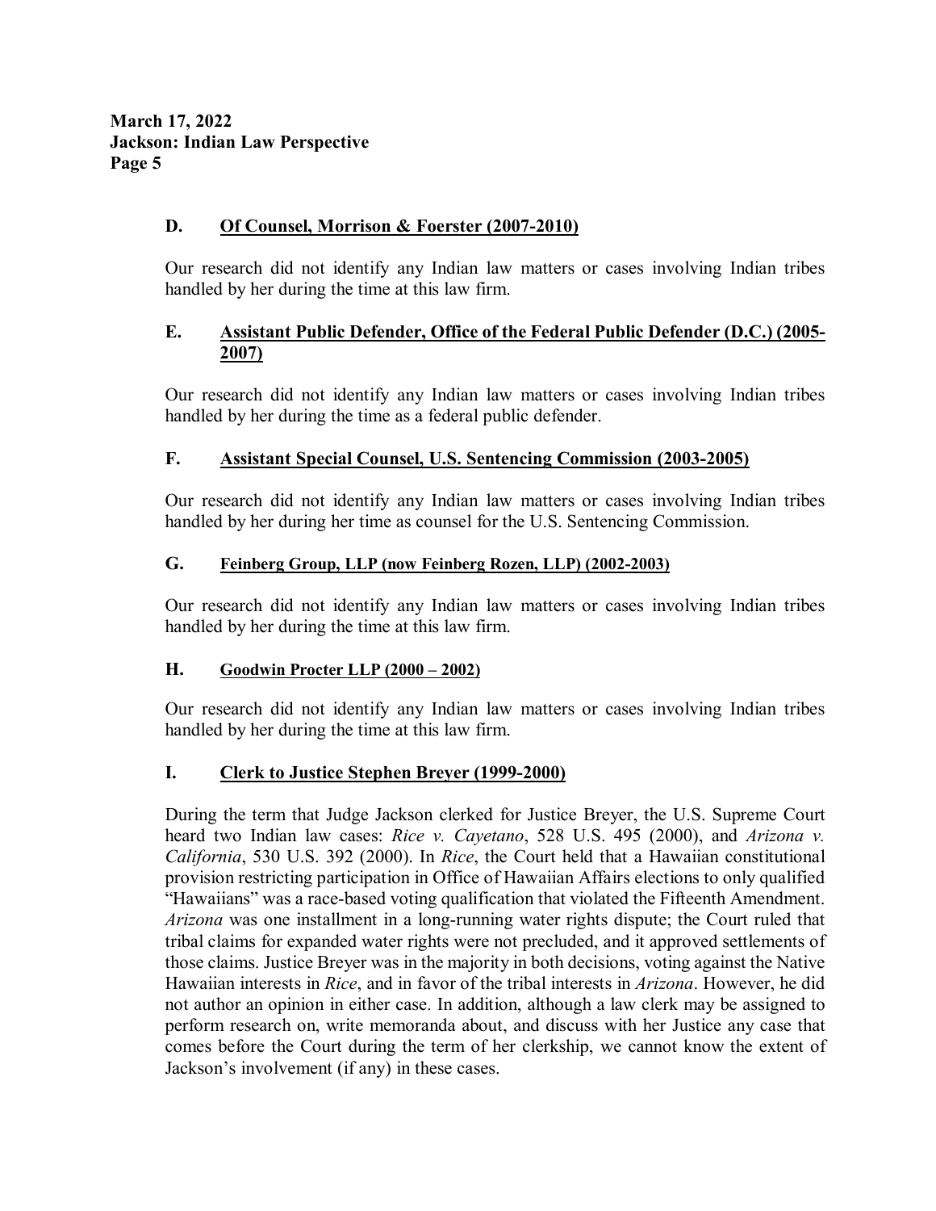#### **D. Of Counsel, Morrison & Foerster (2007-2010)**

Our research did not identify any Indian law matters or cases involving Indian tribes handled by her during the time at this law firm.

#### **E. Assistant Public Defender, Office of the Federal Public Defender (D.C.) (2005- 2007)**

Our research did not identify any Indian law matters or cases involving Indian tribes handled by her during the time as a federal public defender.

#### **F. Assistant Special Counsel, U.S. Sentencing Commission (2003-2005)**

Our research did not identify any Indian law matters or cases involving Indian tribes handled by her during her time as counsel for the U.S. Sentencing Commission.

#### **G. Feinberg Group, LLP (now Feinberg Rozen, LLP) (2002-2003)**

Our research did not identify any Indian law matters or cases involving Indian tribes handled by her during the time at this law firm.

#### **H. Goodwin Procter LLP (2000 – 2002)**

Our research did not identify any Indian law matters or cases involving Indian tribes handled by her during the time at this law firm.

#### **I. Clerk to Justice Stephen Breyer (1999-2000)**

During the term that Judge Jackson clerked for Justice Breyer, the U.S. Supreme Court heard two Indian law cases: *Rice v. Cayetano*, 528 U.S. 495 (2000), and *Arizona v. California*, 530 U.S. 392 (2000). In *Rice*, the Court held that a Hawaiian constitutional provision restricting participation in Office of Hawaiian Affairs elections to only qualified "Hawaiians" was a race-based voting qualification that violated the Fifteenth Amendment. *Arizona* was one installment in a long-running water rights dispute; the Court ruled that tribal claims for expanded water rights were not precluded, and it approved settlements of those claims. Justice Breyer was in the majority in both decisions, voting against the Native Hawaiian interests in *Rice*, and in favor of the tribal interests in *Arizona*. However, he did not author an opinion in either case. In addition, although a law clerk may be assigned to perform research on, write memoranda about, and discuss with her Justice any case that comes before the Court during the term of her clerkship, we cannot know the extent of Jackson's involvement (if any) in these cases.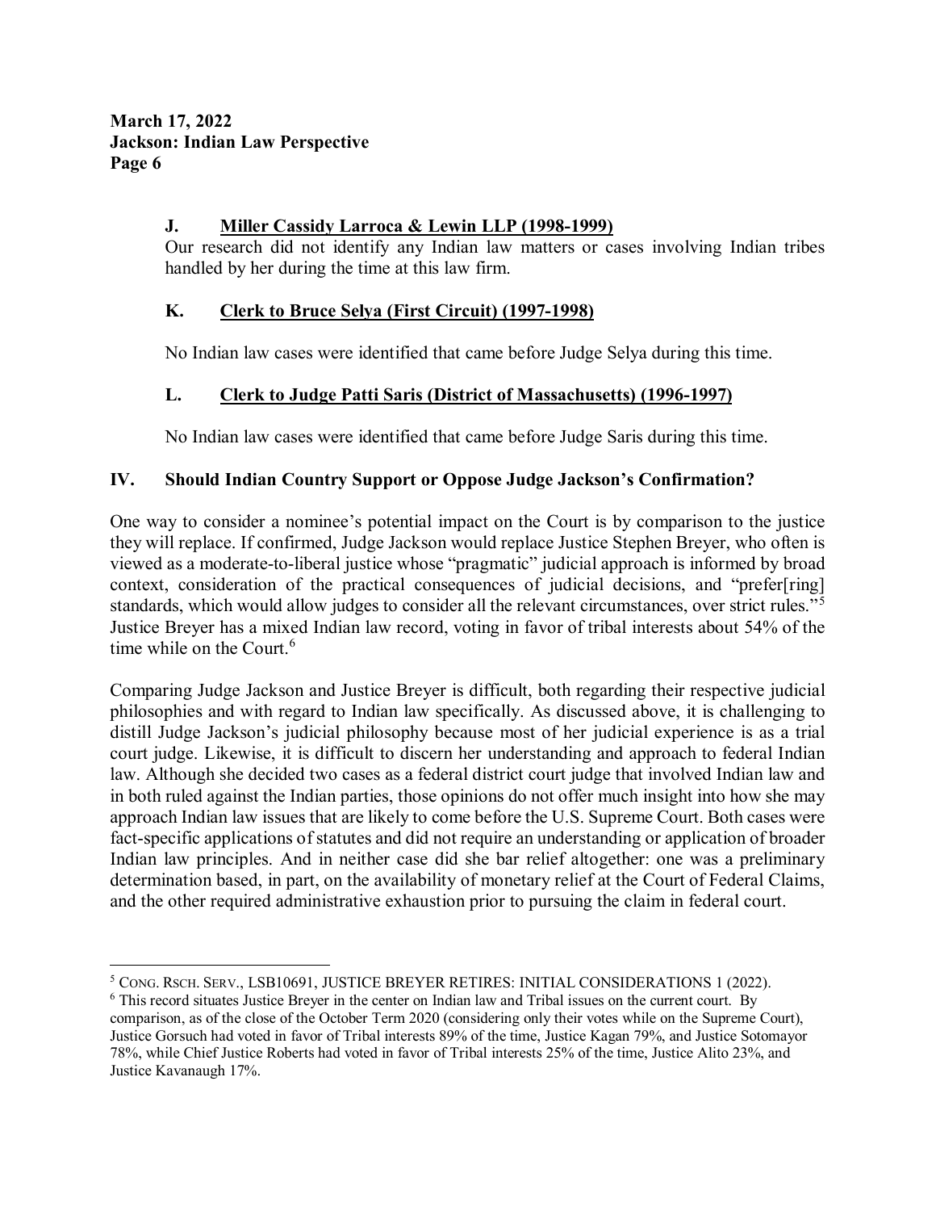### **J. Miller Cassidy Larroca & Lewin LLP (1998-1999)**

Our research did not identify any Indian law matters or cases involving Indian tribes handled by her during the time at this law firm.

### **K. Clerk to Bruce Selya (First Circuit) (1997-1998)**

No Indian law cases were identified that came before Judge Selya during this time.

#### **L. Clerk to Judge Patti Saris (District of Massachusetts) (1996-1997)**

No Indian law cases were identified that came before Judge Saris during this time.

#### **IV. Should Indian Country Support or Oppose Judge Jackson's Confirmation?**

One way to consider a nominee's potential impact on the Court is by comparison to the justice they will replace. If confirmed, Judge Jackson would replace Justice Stephen Breyer, who often is viewed as a moderate-to-liberal justice whose "pragmatic" judicial approach is informed by broad context, consideration of the practical consequences of judicial decisions, and "prefer[ring] standards, which would allow judges to consider all the relevant circumstances, over strict rules."<sup>[5](#page-5-0)</sup> Justice Breyer has a mixed Indian law record, voting in favor of tribal interests about 54% of the time while on the Court.<sup>[6](#page-5-1)</sup>

Comparing Judge Jackson and Justice Breyer is difficult, both regarding their respective judicial philosophies and with regard to Indian law specifically. As discussed above, it is challenging to distill Judge Jackson's judicial philosophy because most of her judicial experience is as a trial court judge. Likewise, it is difficult to discern her understanding and approach to federal Indian law. Although she decided two cases as a federal district court judge that involved Indian law and in both ruled against the Indian parties, those opinions do not offer much insight into how she may approach Indian law issues that are likely to come before the U.S. Supreme Court. Both cases were fact-specific applications of statutes and did not require an understanding or application of broader Indian law principles. And in neither case did she bar relief altogether: one was a preliminary determination based, in part, on the availability of monetary relief at the Court of Federal Claims, and the other required administrative exhaustion prior to pursuing the claim in federal court.

<span id="page-5-0"></span> <sup>5</sup> CONG. RSCH. SERV., LSB10691, JUSTICE BREYER RETIRES: INITIAL CONSIDERATIONS 1 (2022).

<span id="page-5-1"></span><sup>6</sup> This record situates Justice Breyer in the center on Indian law and Tribal issues on the current court. By comparison, as of the close of the October Term 2020 (considering only their votes while on the Supreme Court), Justice Gorsuch had voted in favor of Tribal interests 89% of the time, Justice Kagan 79%, and Justice Sotomayor 78%, while Chief Justice Roberts had voted in favor of Tribal interests 25% of the time, Justice Alito 23%, and Justice Kavanaugh 17%.